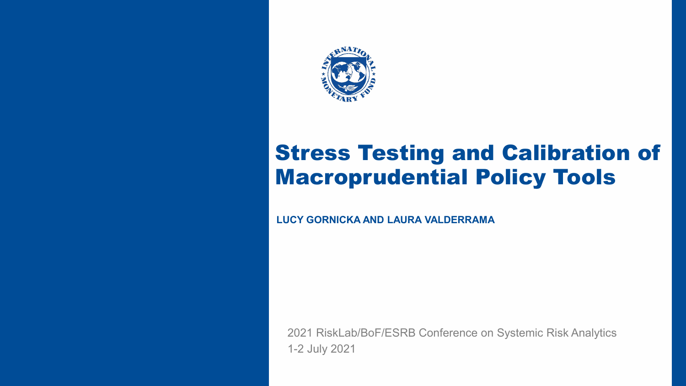

INTERNATIONAL MONETARY FUND 1, INTERNATIONAL MONETARY FUND 1, INTERNATIONAL MONETARY FUND 1, INTERNATIONAL MON

#### Stress Testing and Calibration of Macroprudential Policy Tools

**LUCY GORNICKA AND LAURA VALDERRAMA**

2021 RiskLab/BoF/ESRB Conference on Systemic Risk Analytics 1-2 July 2021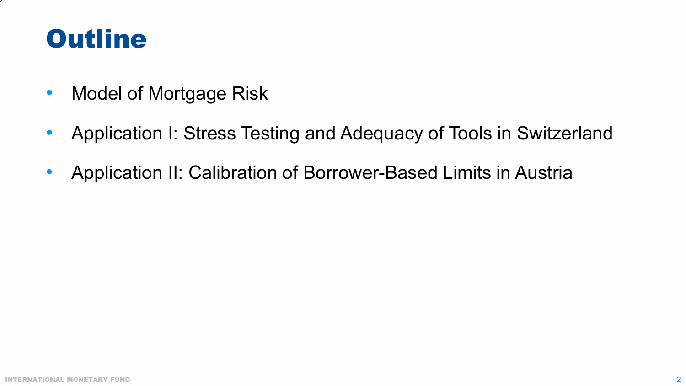#### **Outline**

- Model of Mortgage Risk
- Application I: Stress Testing and Adequacy of Tools in Switzerland
- Application II: Calibration of Borrower-Based Limits in Austria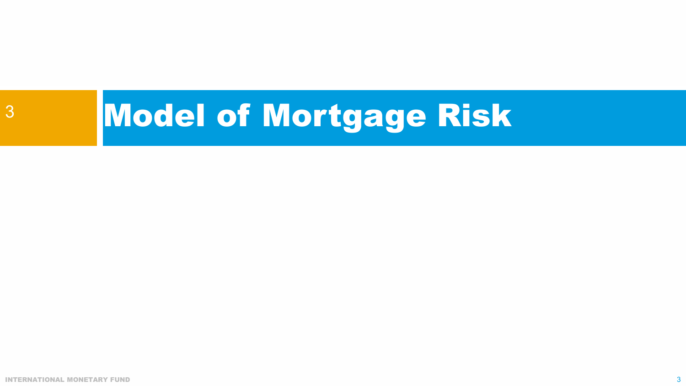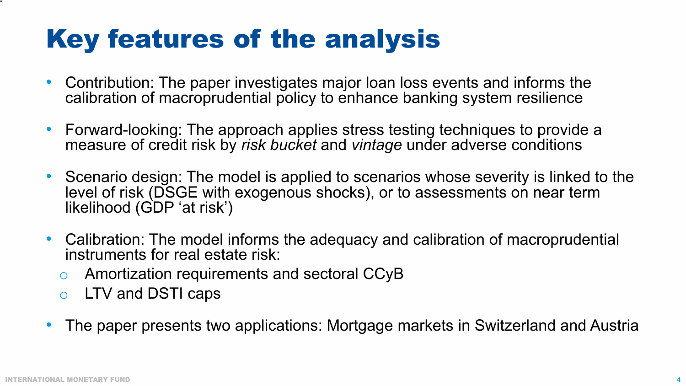# Key features of the analysis

- Contribution: The paper investigates major loan loss events and informs the calibration of macroprudential policy to enhance banking system resilience
- Forward-looking: The approach applies stress testing techniques to provide a measure of credit risk by *risk bucket* and *vintage* under adverse conditions
- Scenario design: The model is applied to scenarios whose severity is linked to the level of risk (DSGE with exogenous shocks), or to assessments on near term likelihood (GDP 'at risk')
- Calibration: The model informs the adequacy and calibration of macroprudential instruments for real estate risk:
	- o Amortization requirements and sectoral CCyB
	- o LTV and DSTI caps
- The paper presents two applications: Mortgage markets in Switzerland and Austria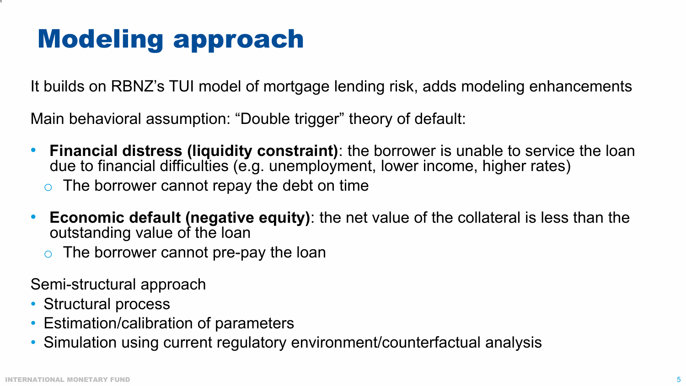# Modeling approach

It builds on RBNZ's TUI model of mortgage lending risk, adds modeling enhancements

Main behavioral assumption: "Double trigger" theory of default:

- **Financial distress (liquidity constraint)**: the borrower is unable to service the loan due to financial difficulties (e.g. unemployment, lower income, higher rates)
	- $\circ$  The borrower cannot repay the debt on time
- **Economic default (negative equity)**: the net value of the collateral is less than the outstanding value of the loan
	- The borrower cannot pre-pay the loan

Semi-structural approach

- Structural process
- Estimation/calibration of parameters
- Simulation using current regulatory environment/counterfactual analysis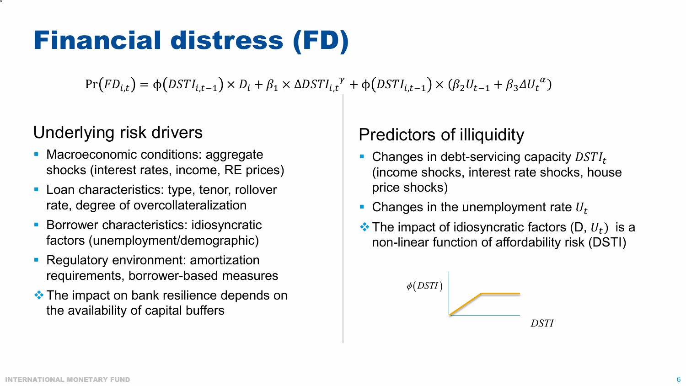# Financial distress (FD)

 $Pr(FD_{i,t}) = \phi(DSTI_{i,t-1}) \times D_i + \beta_1 \times \Delta DSTI_{i,t}^{\gamma} + \phi(DSTI_{i,t-1}) \times (\beta_2 U_{t-1} + \beta_3 \Delta U_t^{\alpha})$ 

#### Underlying risk drivers

- Macroeconomic conditions: aggregate shocks (interest rates, income, RE prices)
- **Loan characteristics: type, tenor, rollover** rate, degree of overcollateralization
- **Borrower characteristics: idiosyncratic** factors (unemployment/demographic)
- Regulatory environment: amortization requirements, borrower-based measures
- $\triangle$  **The impact on bank resilience depends on** the availability of capital buffers

#### Predictors of illiquidity

- Changes in debt-servicing capacity  $DSTI_t$ (income shocks, interest rate shocks, house price shocks)
- Changes in the unemployment rate  $U_t$
- $\cdot$  The impact of idiosyncratic factors (D,  $U_t$ ) is a non-linear function of affordability risk (DSTI)

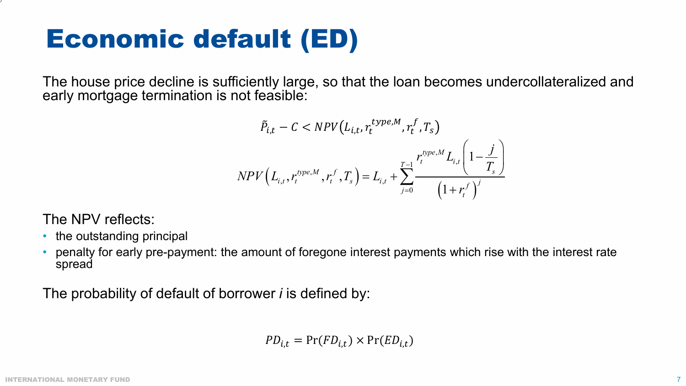# Economic default (ED)

The house price decline is sufficiently large, so that the loan becomes undercollateralized and early mortgage termination is not feasible:

$$
\tilde{P}_{i,t} - C < NPV(L_{i,t}, r_t^{type,M}, r_t^f, T_s)
$$
\n
$$
NPV(L_{i,t}, r_t^{type,M}, r_t^f, T_s) = L_{i,t} + \sum_{j=0}^{T-1} \frac{r_t^{type,M} L_{i,t} \left(1 - \frac{j}{T_s}\right)}{\left(1 + r_t^f\right)^j}
$$

The NPV reflects:

- the outstanding principal
- penalty for early pre-payment: the amount of foregone interest payments which rise with the interest rate spread

The probability of default of borrower *i* is defined by:

$$
PD_{i,t} = \Pr(FD_{i,t}) \times \Pr(ED_{i,t})
$$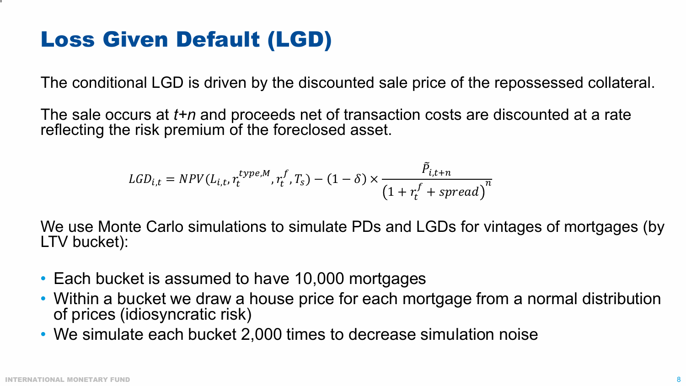#### Loss Given Default (LGD)

The conditional LGD is driven by the discounted sale price of the repossessed collateral.

The sale occurs at *t+n* and proceeds net of transaction costs are discounted at a rate reflecting the risk premium of the foreclosed asset.

$$
LGD_{i,t} = NPV(L_{i,t}, r_t^{type,M}, r_t^f, T_s) - (1 - \delta) \times \frac{\tilde{P}_{i,t+n}}{(1 + r_t^f + spread)^n}
$$

We use Monte Carlo simulations to simulate PDs and LGDs for vintages of mortgages (by LTV bucket):

- Each bucket is assumed to have 10,000 mortgages
- Within a bucket we draw a house price for each mortgage from a normal distribution of prices (idiosyncratic risk)
- We simulate each bucket 2,000 times to decrease simulation noise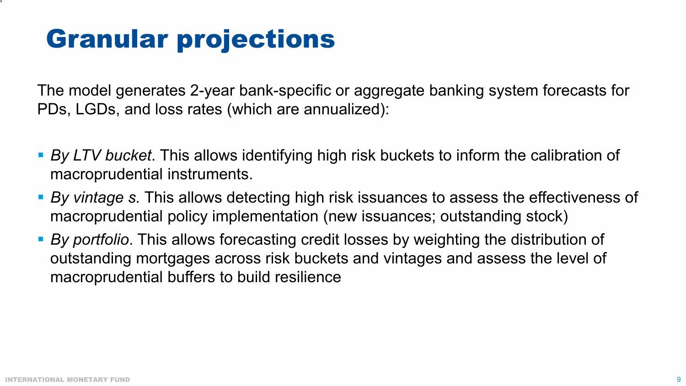# Granular projections

The model generates 2-year bank-specific or aggregate banking system forecasts for PDs, LGDs, and loss rates (which are annualized):

- *By LTV bucket*. This allows identifying high risk buckets to inform the calibration of macroprudential instruments.
- *By vintage s.* This allows detecting high risk issuances to assess the effectiveness of macroprudential policy implementation (new issuances; outstanding stock)
- *By portfolio*. This allows forecasting credit losses by weighting the distribution of outstanding mortgages across risk buckets and vintages and assess the level of macroprudential buffers to build resilience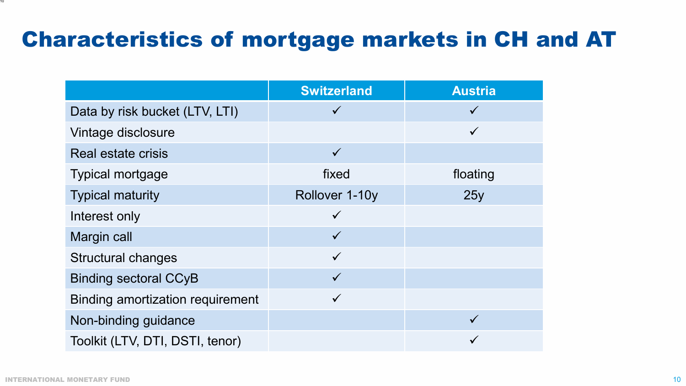#### Characteristics of mortgage markets in CH and AT

|                                         | <b>Switzerland</b> | <b>Austria</b> |
|-----------------------------------------|--------------------|----------------|
| Data by risk bucket (LTV, LTI)          | $\checkmark$       | $\checkmark$   |
| Vintage disclosure                      |                    | $\checkmark$   |
| Real estate crisis                      | $\checkmark$       |                |
| <b>Typical mortgage</b>                 | fixed              | floating       |
| <b>Typical maturity</b>                 | Rollover 1-10y     | 25y            |
| Interest only                           | $\checkmark$       |                |
| Margin call                             | $\checkmark$       |                |
| <b>Structural changes</b>               | $\checkmark$       |                |
| <b>Binding sectoral CCyB</b>            | $\checkmark$       |                |
| <b>Binding amortization requirement</b> | $\checkmark$       |                |
| Non-binding guidance                    |                    |                |
| Toolkit (LTV, DTI, DSTI, tenor)         |                    |                |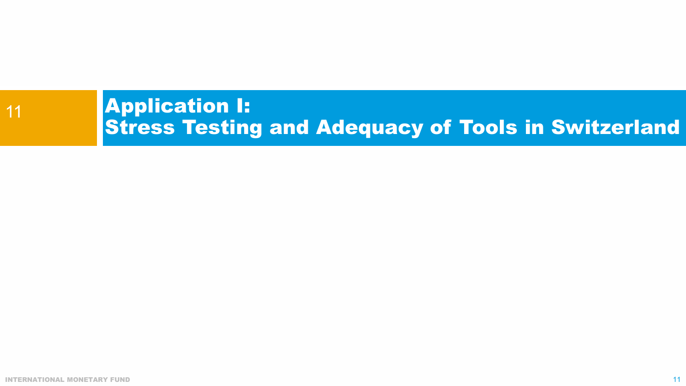#### Application I: Stress Testing and Adequacy of Tools in Switzerland 11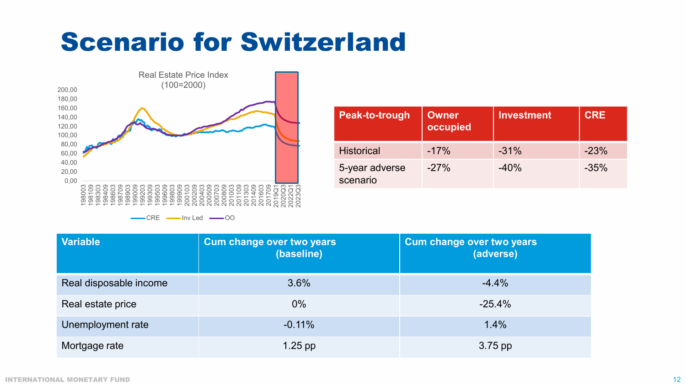## Scenario for Switzerland



| Peak-to-trough             | <b>Owner</b><br>occupied | <b>Investment</b> | <b>CRE</b> |
|----------------------------|--------------------------|-------------------|------------|
| <b>Historical</b>          | $-17%$                   | $-31%$            | $-23%$     |
| 5-year adverse<br>scenario | $-27%$                   | $-40%$            | $-35%$     |

| <b>Variable</b>        | <b>Cum change over two years</b><br>(baseline) | <b>Cum change over two years</b><br>(adverse) |
|------------------------|------------------------------------------------|-----------------------------------------------|
| Real disposable income | 3.6%                                           | $-4.4%$                                       |
| Real estate price      | $0\%$                                          | $-25.4%$                                      |
| Unemployment rate      | $-0.11%$                                       | 1.4%                                          |
| Mortgage rate          | $1.25$ pp                                      | 3.75 pp                                       |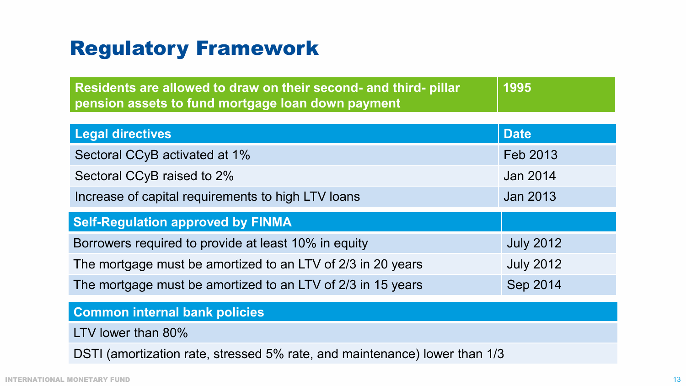#### Regulatory Framework

| Residents are allowed to draw on their second- and third- pillar | 1995 |
|------------------------------------------------------------------|------|
| pension assets to fund mortgage loan down payment                |      |

| <b>Legal directives</b>                                     | <b>Date</b>      |  |  |  |  |
|-------------------------------------------------------------|------------------|--|--|--|--|
| Sectoral CCyB activated at 1%                               | Feb 2013         |  |  |  |  |
| Sectoral CCyB raised to 2%                                  | Jan 2014         |  |  |  |  |
| Increase of capital requirements to high LTV loans          | Jan 2013         |  |  |  |  |
| <b>Self-Regulation approved by FINMA</b>                    |                  |  |  |  |  |
| Borrowers required to provide at least 10% in equity        | <b>July 2012</b> |  |  |  |  |
| The mortgage must be amortized to an LTV of 2/3 in 20 years | <b>July 2012</b> |  |  |  |  |
| The mortgage must be amortized to an LTV of 2/3 in 15 years | Sep 2014         |  |  |  |  |

#### **Common internal bank policies**

LTV lower than 80%

DSTI (amortization rate, stressed 5% rate, and maintenance) lower than 1/3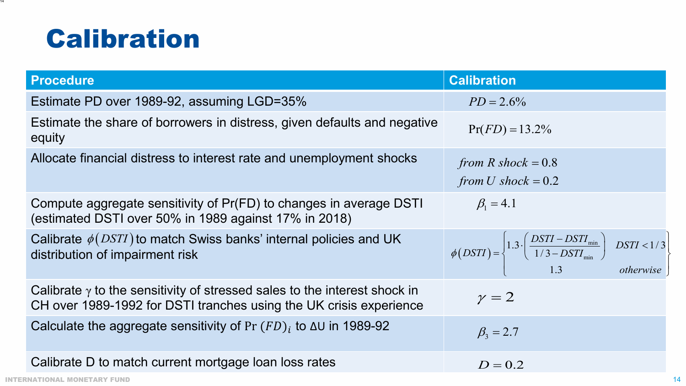## Calibration

| <b>Procedure</b>                                                                                                                                       | <b>Calibration</b>                                                                                                                             |
|--------------------------------------------------------------------------------------------------------------------------------------------------------|------------------------------------------------------------------------------------------------------------------------------------------------|
| Estimate PD over 1989-92, assuming LGD=35%                                                                                                             | $PD = 2.6\%$                                                                                                                                   |
| Estimate the share of borrowers in distress, given defaults and negative<br>equity                                                                     | $Pr(FD) = 13.2\%$                                                                                                                              |
| Allocate financial distress to interest rate and unemployment shocks                                                                                   | from R shock = $0.8$<br>from U shock = $0.2$                                                                                                   |
| Compute aggregate sensitivity of Pr(FD) to changes in average DSTI<br>(estimated DSTI over 50% in 1989 against 17% in 2018)                            | $\beta_1 = 4.1$                                                                                                                                |
| Calibrate $\phi(DSTI)$ to match Swiss banks' internal policies and UK<br>distribution of impairment risk                                               | $\phi(DSTI) = \begin{cases} 1.3 \cdot \left( \frac{DSTI - DSTI_{\min}}{1/3 - DSTI_{\min}} \right) & DSTI < 1/3 \\ 1.3 & otherwise \end{cases}$ |
| Calibrate $\gamma$ to the sensitivity of stressed sales to the interest shock in<br>CH over 1989-1992 for DSTI tranches using the UK crisis experience | $\gamma = 2$                                                                                                                                   |
| Calculate the aggregate sensitivity of Pr $(FD)_i$ to $\Delta U$ in 1989-92                                                                            | $\beta_3 = 2.7$                                                                                                                                |
| Calibrate D to match current mortgage loan loss rates                                                                                                  | $D = 0.2$                                                                                                                                      |
| INTERNATIONAL MONETARY FUND                                                                                                                            |                                                                                                                                                |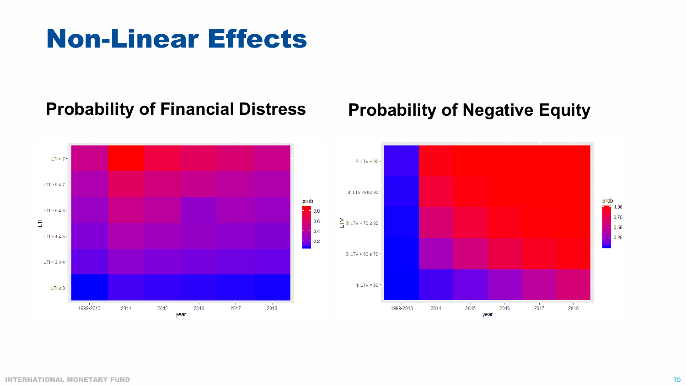## Non-Linear Effects

#### **Probability of Financial Distress Probability of Negative Equity**



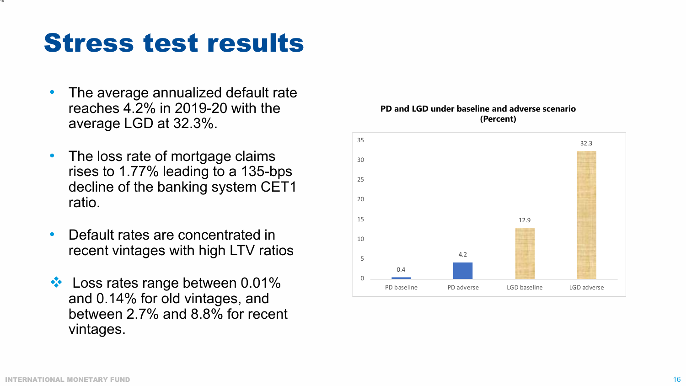#### Stress test results

- The average annualized default rate reaches 4.2% in 2019-20 with the average LGD at 32.3%.
- The loss rate of mortgage claims rises to 1.77% leading to a 135-bps decline of the banking system CET1 ratio.
- Default rates are concentrated in recent vintages with high LTV ratios
- ❖ Loss rates range between 0.01% and 0.14% for old vintages, and between 2.7% and 8.8% for recent vintages.



#### **PD and LGD under baseline and adverse scenario (Percent)**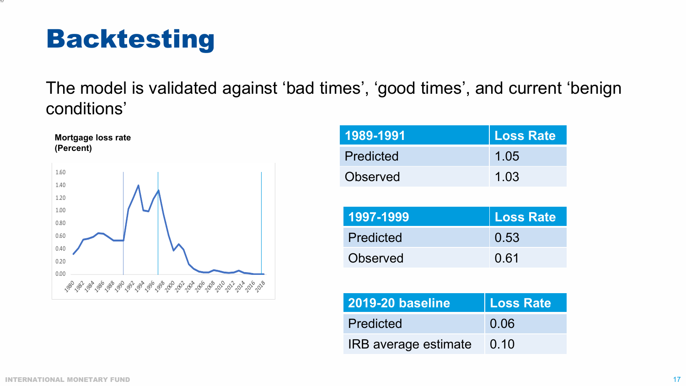# Backtesting

17

The model is validated against 'bad times', 'good times', and current 'benign conditions'



| l <b>1989-1991</b> ' | Loss Rate |
|----------------------|-----------|
| Predicted            | 1.05      |
| Observed             | 1 03      |

| 1997-1999 | Loss Rate |
|-----------|-----------|
| Predicted | 0.53      |
| Observed  | 0.61      |

| <b>2019-20 baseline</b> | Loss Rate |
|-------------------------|-----------|
| Predicted               | 0.06      |
| IRB average estimate    | 0.10      |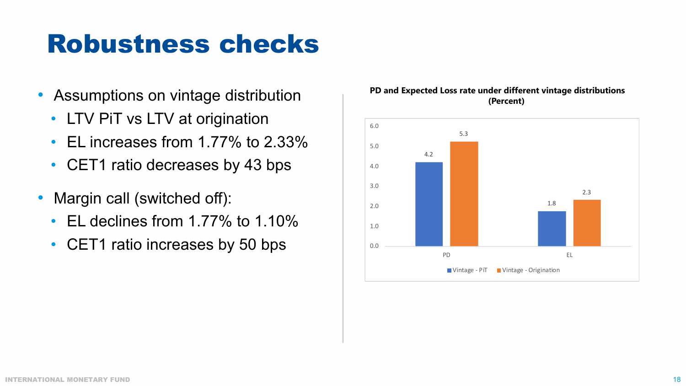## Robustness checks

- Assumptions on vintage distribution
	- LTV PiT vs LTV at origination
	- EL increases from 1.77% to 2.33%
	- CET1 ratio decreases by 43 bps
- Margin call (switched off):
	- EL declines from 1.77% to 1.10%
	- CET1 ratio increases by 50 bps



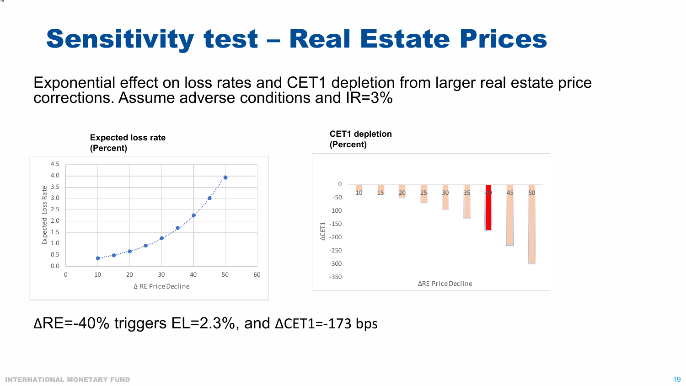# Sensitivity test – Real Estate Prices

Exponential effect on loss rates and CET1 depletion from larger real estate price corrections. Assume adverse conditions and IR=3%



∆RE=-40% triggers EL=2.3%, and ∆CET1=-173 bps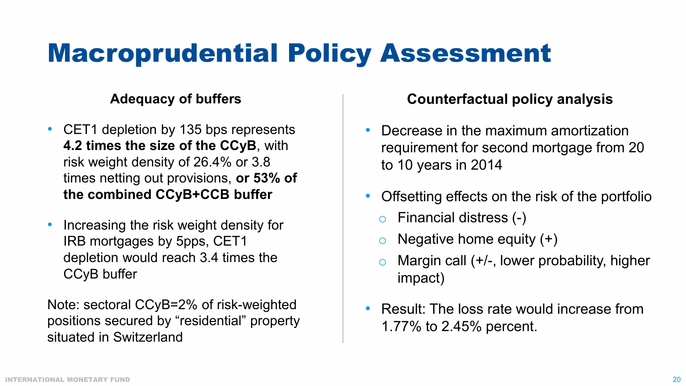# Macroprudential Policy Assessment

#### **Adequacy of buffers**

- CET1 depletion by 135 bps represents **4.2 times the size of the CCyB**, with risk weight density of 26.4% or 3.8 times netting out provisions, **or 53% of the combined CCyB+CCB buffer**
- Increasing the risk weight density for IRB mortgages by 5pps, CET1 depletion would reach 3.4 times the CCyB buffer

Note: sectoral CCyB=2% of risk-weighted positions secured by "residential" property situated in Switzerland

#### **Counterfactual policy analysis**

- Decrease in the maximum amortization requirement for second mortgage from 20 to 10 years in 2014
- Offsetting effects on the risk of the portfolio
	- o Financial distress (-)
	- $\circ$  Negative home equity  $(+)$
	- $\circ$  Margin call (+/-, lower probability, higher impact)
- Result: The loss rate would increase from 1.77% to 2.45% percent.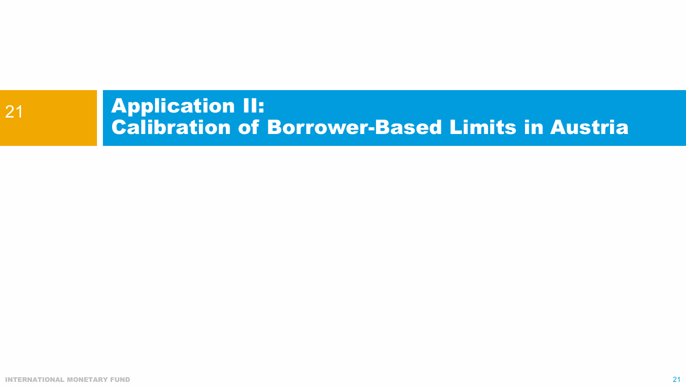#### Application II: Calibration of Borrower-Based Limits in Austria 21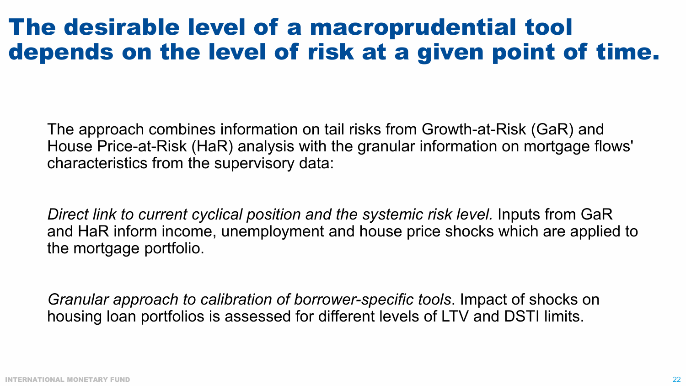#### The desirable level of a macroprudential tool depends on the level of risk at a given point of time.

The approach combines information on tail risks from Growth-at-Risk (GaR) and House Price-at-Risk (HaR) analysis with the granular information on mortgage flows' characteristics from the supervisory data:

*Direct link to current cyclical position and the systemic risk level.* Inputs from GaR and HaR inform income, unemployment and house price shocks which are applied to the mortgage portfolio.

*Granular approach to calibration of borrower-specific tools*. Impact of shocks on housing loan portfolios is assessed for different levels of LTV and DSTI limits.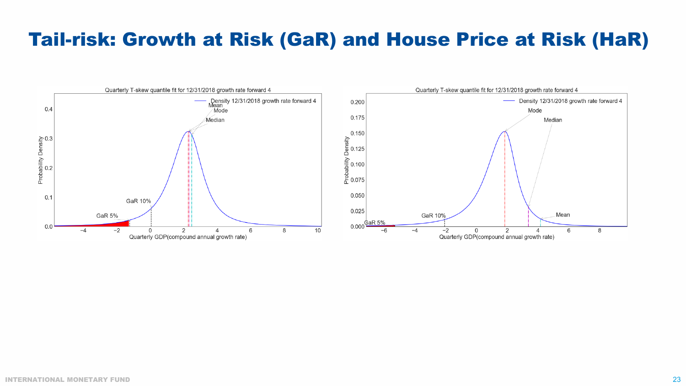#### Tail-risk: Growth at Risk (GaR) and House Price at Risk (HaR)

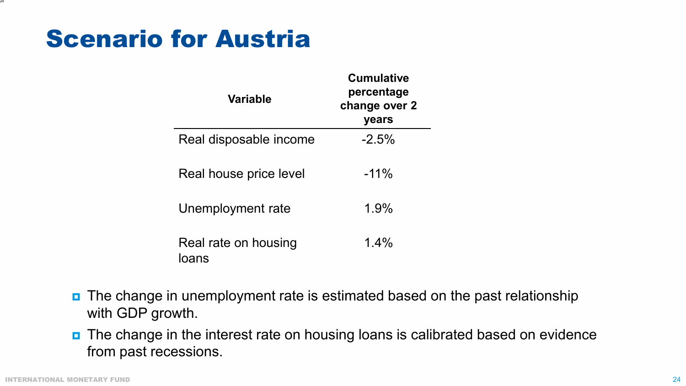#### Scenario for Austria

| <b>Variable</b>               | <b>Cumulative</b><br>percentage<br>change over 2<br>years |
|-------------------------------|-----------------------------------------------------------|
| Real disposable income        | $-2.5\%$                                                  |
| Real house price level        | $-11\%$                                                   |
| Unemployment rate             | 1.9%                                                      |
| Real rate on housing<br>loans | $1.4\%$                                                   |

- **n** The change in unemployment rate is estimated based on the past relationship with GDP growth.
- **n** The change in the interest rate on housing loans is calibrated based on evidence from past recessions.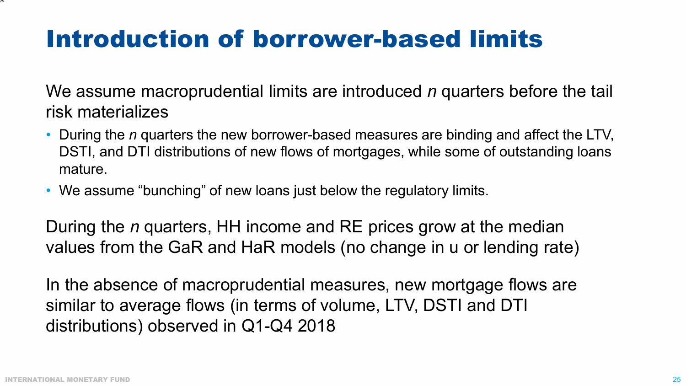### Introduction of borrower-based limits

We assume macroprudential limits are introduced *n* quarters before the tail risk materializes

- During the *n* quarters the new borrower-based measures are binding and affect the LTV, DSTI, and DTI distributions of new flows of mortgages, while some of outstanding loans mature.
- We assume "bunching" of new loans just below the regulatory limits.

During the *n* quarters, HH income and RE prices grow at the median values from the GaR and HaR models (no change in u or lending rate)

In the absence of macroprudential measures, new mortgage flows are similar to average flows (in terms of volume, LTV, DSTI and DTI distributions) observed in Q1-Q4 2018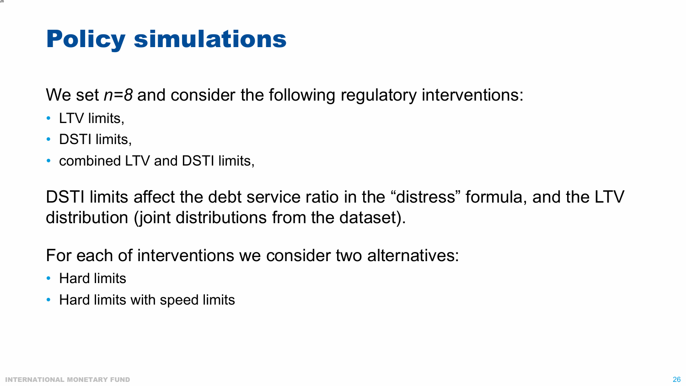#### Policy simulations

We set *n=8* and consider the following regulatory interventions:

• LTV limits,

26

- DSTI limits,
- combined LTV and DSTI limits,

DSTI limits affect the debt service ratio in the "distress" formula, and the LTV distribution (joint distributions from the dataset).

For each of interventions we consider two alternatives:

- Hard limits
- Hard limits with speed limits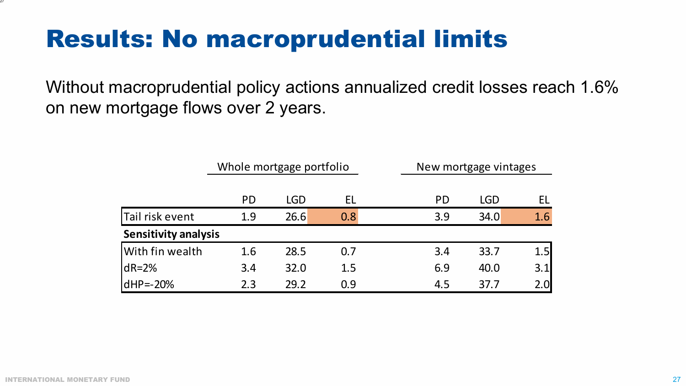#### Results: No macroprudential limits

Without macroprudential policy actions annualized credit losses reach 1.6% on new mortgage flows over 2 years.

|                             | Whole mortgage portfolio |            |     | New mortgage vintages |            |     |  |  |
|-----------------------------|--------------------------|------------|-----|-----------------------|------------|-----|--|--|
|                             | <b>PD</b>                | <b>LGD</b> | EL  | <b>PD</b>             | <b>LGD</b> | EL  |  |  |
| Tail risk event             | 1.9                      | 26.6       | 0.8 | 3.9                   | 34.0       | 1.6 |  |  |
| <b>Sensitivity analysis</b> |                          |            |     |                       |            |     |  |  |
| With fin wealth             | 1.6                      | 28.5       | 0.7 | 3.4                   | 33.7       | 1.5 |  |  |
| $dR = 2%$                   | 3.4                      | 32.0       | 1.5 | 6.9                   | 40.0       | 3.1 |  |  |
| $dHP = -20%$                | 2.3                      | 29.2       | 0.9 | 4.5                   | 37.7       | 2.0 |  |  |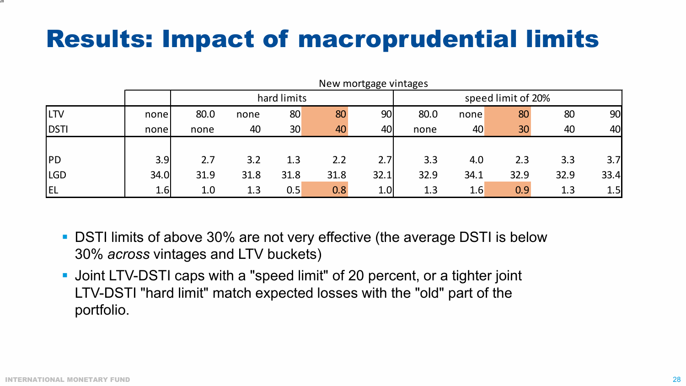## Results: Impact of macroprudential limits

|            |      |      |             |                 |      | New mortgage vintages |      |      |                    |      |      |
|------------|------|------|-------------|-----------------|------|-----------------------|------|------|--------------------|------|------|
|            |      |      | hard limits |                 |      |                       |      |      | speed limit of 20% |      |      |
| <b>LTV</b> | none | 80.0 | none        | 80              | 80   | 90                    | 80.0 | none | 80                 | 80   | 90   |
| DSTI       | none | none | 40          | 30 <sup>°</sup> | 40   | 40                    | none | 40   | 30                 | 40   | 40   |
|            |      |      |             |                 |      |                       |      |      |                    |      |      |
| PD         | 3.9  | 2.7  | 3.2         | 1.3             | 2.2  | 2.7                   | 3.3  | 4.0  | 2.3                | 3.3  | 3.7  |
| <b>LGD</b> | 34.0 | 31.9 | 31.8        | 31.8            | 31.8 | 32.1                  | 32.9 | 34.1 | 32.9               | 32.9 | 33.4 |
| <b>EL</b>  | 1.6  | 1.0  | 1.3         | 0.5             | 0.8  | 1.0                   | 1.3  | 1.6  | 0.9                | 1.3  | 1.5  |

- DSTI limits of above 30% are not very effective (the average DSTI is below 30% *across* vintages and LTV buckets)
- Joint LTV-DSTI caps with a "speed limit" of 20 percent, or a tighter joint LTV-DSTI "hard limit" match expected losses with the "old" part of the portfolio.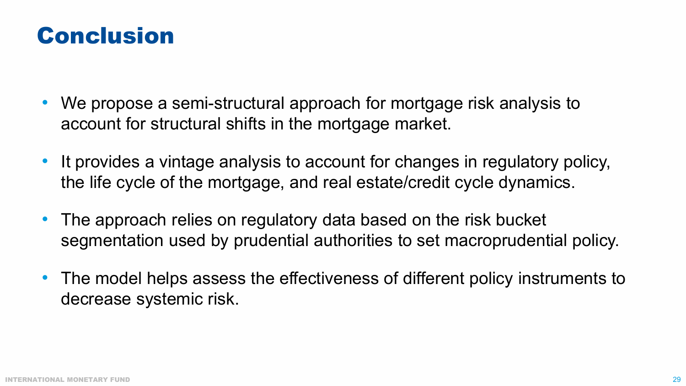#### Conclusion

- We propose a semi-structural approach for mortgage risk analysis to account for structural shifts in the mortgage market.
- It provides a vintage analysis to account for changes in regulatory policy, the life cycle of the mortgage, and real estate/credit cycle dynamics.
- The approach relies on regulatory data based on the risk bucket segmentation used by prudential authorities to set macroprudential policy.
- The model helps assess the effectiveness of different policy instruments to decrease systemic risk.